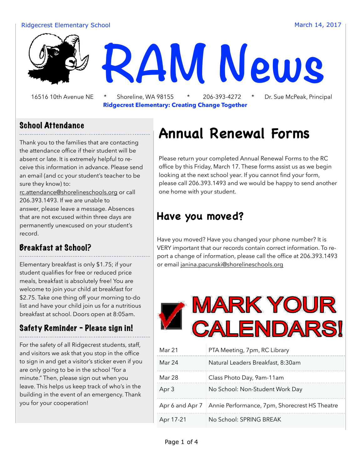#### Ridgecrest Elementary School and The Control of the Control of the March 14, 2017



 16516 10th Avenue NE \* Shoreline, WA 98155 \* 206-393-4272 \* Dr. Sue McPeak, Principal **Ridgecrest Elementary: Creating Change Together**

#### School Attendance

Thank you to the families that are contacting the attendance office if their student will be absent or late. It is extremely helpful to receive this information in advance. Please send an email (and cc your student's teacher to be sure they know) to: [rc.attendance@shorelineschools.org](mailto:rc.attendance@shorelineschools.org) or call 206.393.1493. If we are unable to

answer, please leave a message. Absences that are not excused within three days are permanently unexcused on your student's record.

#### Breakfast at School?

Elementary breakfast is only \$1.75; if your student qualifies for free or reduced price meals, breakfast is absolutely free! You are welcome to join your child at breakfast for \$2.75. Take one thing off your morning to-do list and have your child join us for a nutritious breakfast at school. Doors open at 8:05am.

#### Safety Reminder - Please sign in!

For the safety of all Ridgecrest students, staff, and visitors we ask that you stop in the office to sign in and get a visitor's sticker even if you are only going to be in the school "for a minute." Then, please sign out when you leave. This helps us keep track of who's in the building in the event of an emergency. Thank you for your cooperation!

# **Annual Renewal Forms**

Please return your completed Annual Renewal Forms to the RC office by this Friday, March 17. These forms assist us as we begin looking at the next school year. If you cannot find your form, please call 206.393.1493 and we would be happy to send another one home with your student.

### **Have you moved?**

Have you moved? Have you changed your phone number? It is VERY important that our records contain correct information. To report a change of information, please call the office at 206.393.1493 or email [janina.pacunski@shorelineschools.org](mailto:janina.pacunski@shorelineschools.org)



| Mar 21    | PTA Meeting, 7pm, RC Library                                    |
|-----------|-----------------------------------------------------------------|
| Mar 24    | Natural Leaders Breakfast, 8:30am                               |
| Mar 28    | Class Photo Day, 9am-11am                                       |
| Apr 3     | No School: Non-Student Work Day                                 |
|           | Apr 6 and Apr 7   Annie Performance, 7pm, Shorecrest HS Theatre |
| Apr 17-21 | No School: SPRING BREAK                                         |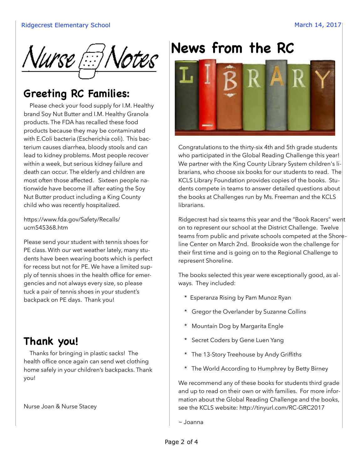

## **Greeting RC Families:**

Please check your food supply for I.M. Healthy brand Soy Nut Butter and I.M. Healthy Granola products. The FDA has recalled these food products because they may be contaminated with E.Coli bacteria (Escherichia coli). This bacterium causes diarrhea, bloody stools and can lead to kidney problems. Most people recover within a week, but serious kidney failure and death can occur. The elderly and children are most often those affected. Sixteen people nationwide have become ill after eating the Soy Nut Butter product including a King County child who was recently hospitalized.

[https://www.fda.gov/Safety/Recalls/](https://www.fda.gov/Safety/Recalls/ucm545368.htm) [ucm545368.htm](https://www.fda.gov/Safety/Recalls/ucm545368.htm)

Please send your student with tennis shoes for PE class. With our wet weather lately, many students have been wearing boots which is perfect for recess but not for PE. We have a limited supply of tennis shoes in the health office for emergencies and not always every size, so please tuck a pair of tennis shoes in your student's backpack on PE days. Thank you!

## **Thank you!**

 Thanks for bringing in plastic sacks! The health office once again can send wet clothing home safely in your children's backpacks. Thank you!

Nurse Joan & Nurse Stacey

# **News from the RC**



Congratulations to the thirty-six 4th and 5th grade students who participated in the Global Reading Challenge this year! We partner with the King County Library System children's librarians, who choose six books for our students to read. The KCLS Library Foundation provides copies of the books. Students compete in teams to answer detailed questions about the books at Challenges run by Ms. Freeman and the KCLS librarians.

Ridgecrest had six teams this year and the "Book Racers" went on to represent our school at the District Challenge. Twelve teams from public and private schools competed at the Shoreline Center on March 2nd. Brookside won the challenge for their first time and is going on to the Regional Challenge to represent Shoreline.

The books selected this year were exceptionally good, as always. They included:

- \* Esperanza Rising by Pam Munoz Ryan
- \* Gregor the Overlander by Suzanne Collins
- \* Mountain Dog by Margarita Engle
- \* Secret Coders by Gene Luen Yang
- \* The 13-Story Treehouse by Andy Griffiths
- \* The World According to Humphrey by Betty Birney

We recommend any of these books for students third grade and up to read on their own or with families. For more information about the Global Reading Challenge and the books, see the KCLS website: http://tinyurl.com/RC-GRC2017

~ Joanna